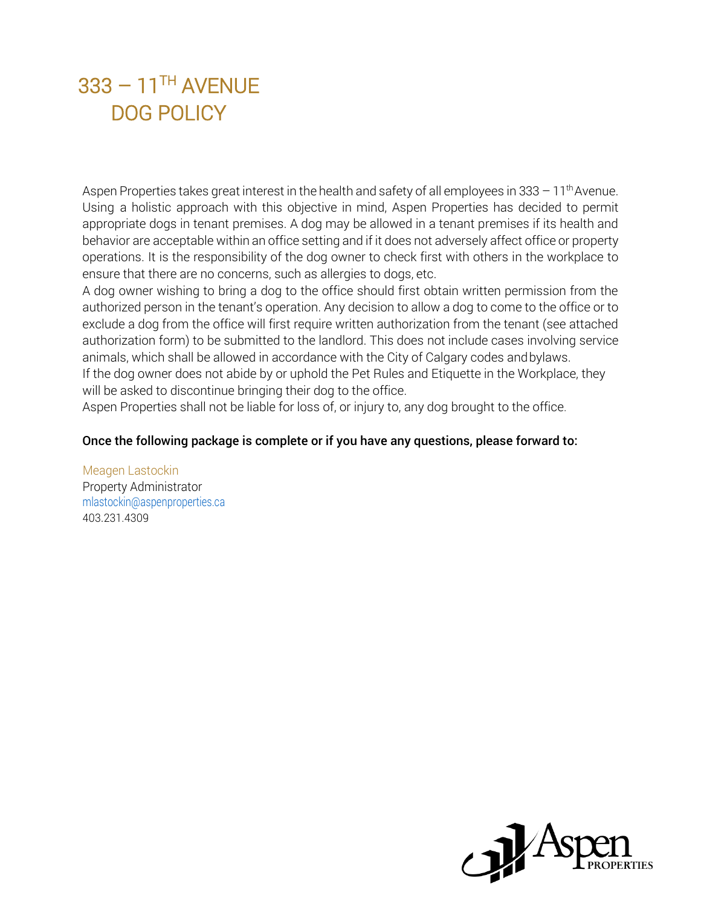Aspen Properties takes great interest in the health and safety of all employees in 333  $-11<sup>th</sup>$  Avenue. Using a holistic approach with this objective in mind, Aspen Properties has decided to permit appropriate dogs in tenant premises. A dog may be allowed in a tenant premises if its health and behavior are acceptable within an office setting and if it does not adversely affect office or property operations. It is the responsibility of the dog owner to check first with others in the workplace to ensure that there are no concerns, such as allergies to dogs, etc.

A dog owner wishing to bring a dog to the office should first obtain written permission from the authorized person in the tenant's operation. Any decision to allow a dog to come to the office or to exclude a dog from the office will first require written authorization from the tenant (see attached authorization form) to be submitted to the landlord. This does not include cases involving service animals, which shall be allowed in accordance with the City of Calgary codes andbylaws. If the dog owner does not abide by or uphold the Pet Rules and Etiquette in the Workplace, they will be asked to discontinue bringing their dog to the office.

Aspen Properties shall not be liable for loss of, or injury to, any dog brought to the office.

#### Once the following package is complete or if you have any questions, please forward to:

Meagen Lastockin Property Administrator mlastockin@aspenproperties.ca 403.231.4309

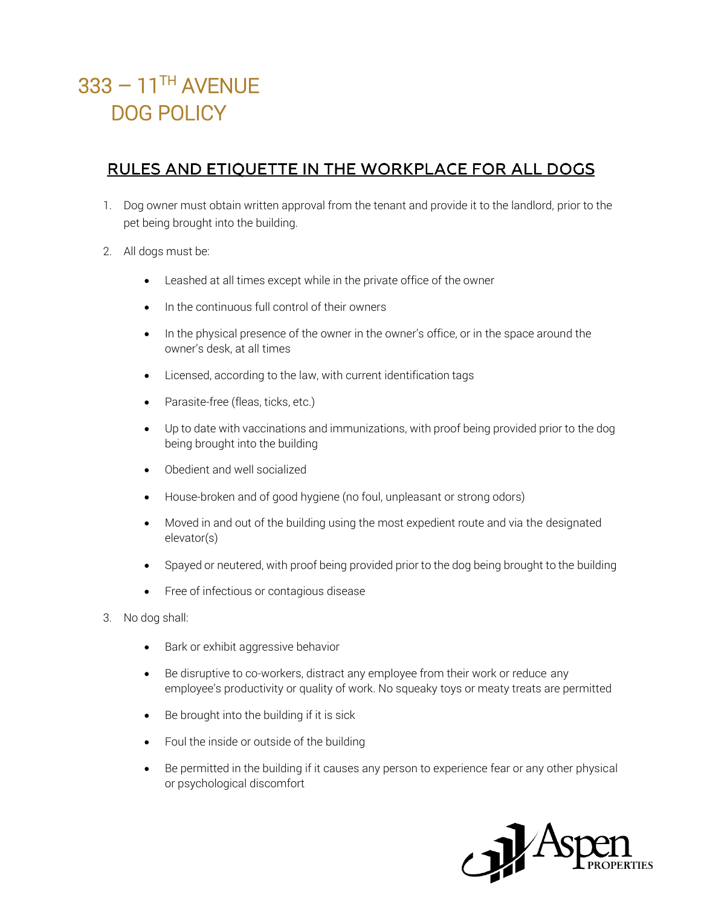### RULES AND ETIQUETTE IN THE WORKPLACE FOR ALL DOGS

- 1. Dog owner must obtain written approval from the tenant and provide it to the landlord, prior to the pet being brought into the building.
- 2. All dogs must be:
	- Leashed at all times except while in the private office of the owner
	- In the continuous full control of their owners
	- In the physical presence of the owner in the owner's office, or in the space around the owner's desk, at all times
	- Licensed, according to the law, with current identification tags
	- Parasite-free (fleas, ticks, etc.)
	- Up to date with vaccinations and immunizations, with proof being provided prior to the dog being brought into the building
	- Obedient and well socialized
	- House-broken and of good hygiene (no foul, unpleasant or strong odors)
	- Moved in and out of the building using the most expedient route and via the designated elevator(s)
	- Spayed or neutered, with proof being provided prior to the dog being brought to the building
	- Free of infectious or contagious disease
- 3. No dog shall:
	- Bark or exhibit aggressive behavior
	- Be disruptive to co-workers, distract any employee from their work or reduce any employee's productivity or quality of work. No squeaky toys or meaty treats are permitted
	- Be brought into the building if it is sick
	- Foul the inside or outside of the building
	- Be permitted in the building if it causes any person to experience fear or any other physical or psychological discomfort

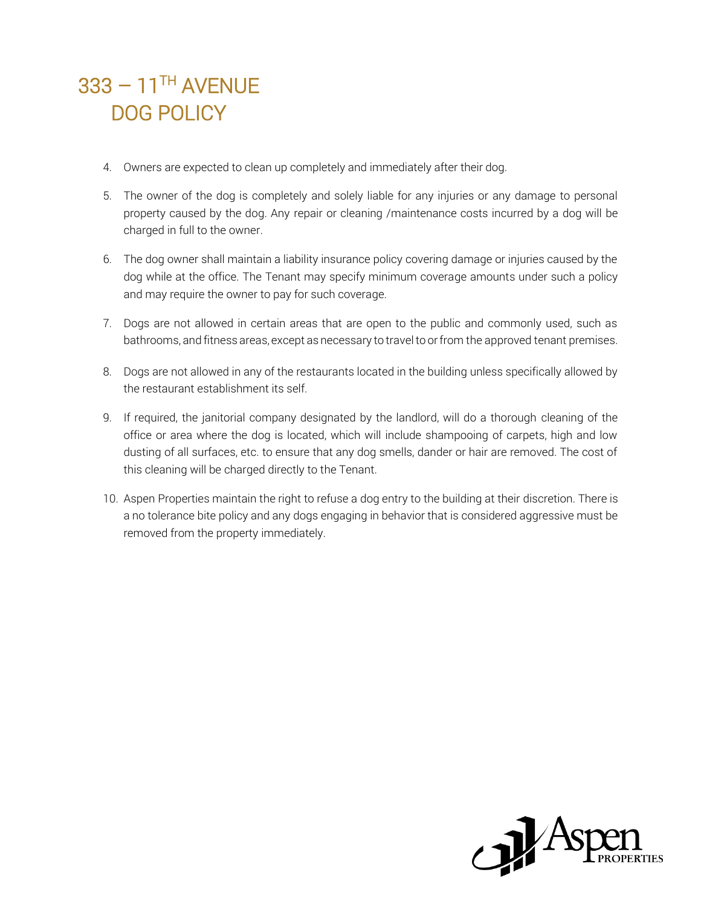- 4. Owners are expected to clean up completely and immediately after their dog.
- 5. The owner of the dog is completely and solely liable for any injuries or any damage to personal property caused by the dog. Any repair or cleaning /maintenance costs incurred by a dog will be charged in full to the owner.
- 6. The dog owner shall maintain a liability insurance policy covering damage or injuries caused by the dog while at the office. The Tenant may specify minimum coverage amounts under such a policy and may require the owner to pay for such coverage.
- 7. Dogs are not allowed in certain areas that are open to the public and commonly used, such as bathrooms, and fitness areas, except as necessary to travel to or from the approved tenant premises.
- 8. Dogs are not allowed in any of the restaurants located in the building unless specifically allowed by the restaurant establishment its self.
- 9. If required, the janitorial company designated by the landlord, will do a thorough cleaning of the office or area where the dog is located, which will include shampooing of carpets, high and low dusting of all surfaces, etc. to ensure that any dog smells, dander or hair are removed. The cost of this cleaning will be charged directly to the Tenant.
- 10. Aspen Properties maintain the right to refuse a dog entry to the building at their discretion. There is a no tolerance bite policy and any dogs engaging in behavior that is considered aggressive must be removed from the property immediately.

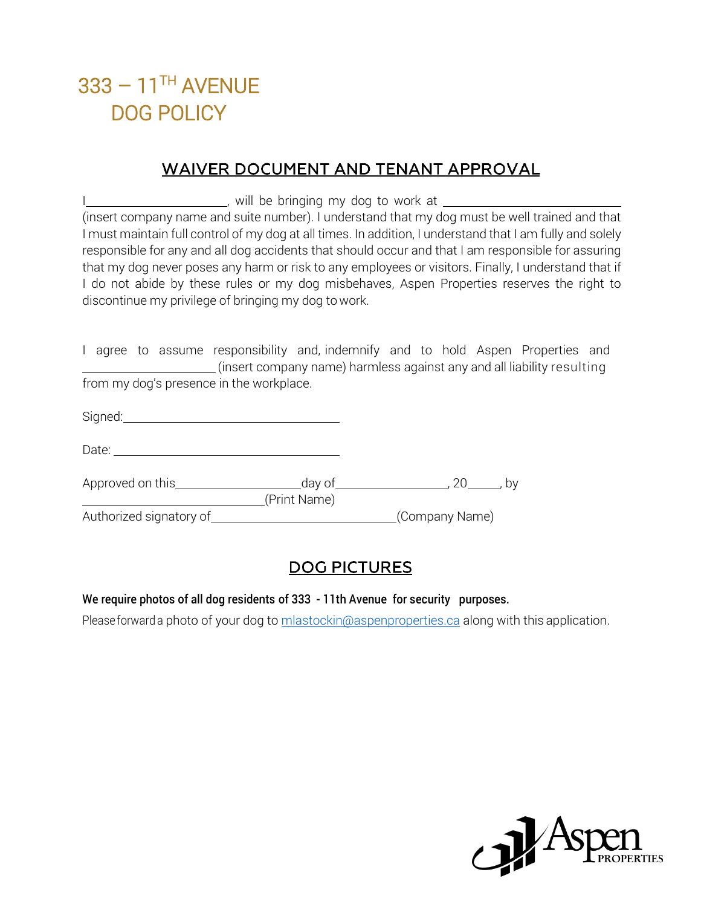#### **WAIVER DOCUMENT AND TENANT APPROVAL**

I COLORATION WAS CONSIDENT WILL be bringing my dog to work at Manuscription COLORATION (NORTH THE REG. (insert company name and suite number). I understand that my dog must be well trained and that I must maintain full control of my dog at all times. In addition, I understand that I am fully and solely responsible for any and all dog accidents that should occur and that I am responsible for assuring that my dog never poses any harm or risk to any employees or visitors. Finally, I understand that if I do not abide by these rules or my dog misbehaves, Aspen Properties reserves the right to discontinue my privilege of bringing my dog to work.

I agree to assume responsibility and, indemnify and to hold Aspen Properties and (insert company name) harmless against any and all liability resulting from my dog's presence in the workplace.

| Sinned <sup>.</sup> |  |  |  |
|---------------------|--|--|--|
| $-9.1$              |  |  |  |

| Date:             |        |    |
|-------------------|--------|----|
| Approved on this_ | day of | b٧ |

(Print Name)

Authorized signatory of **EXALL STATES (COMPANY NAME)**<br>
Company Name)

### **DOG PICTURES**

#### We require photos of all dog residents of 333 - 11th Avenue for security purposes.

Please forward a photo of your dog to mlastockin@aspenproperties.ca along with this application.

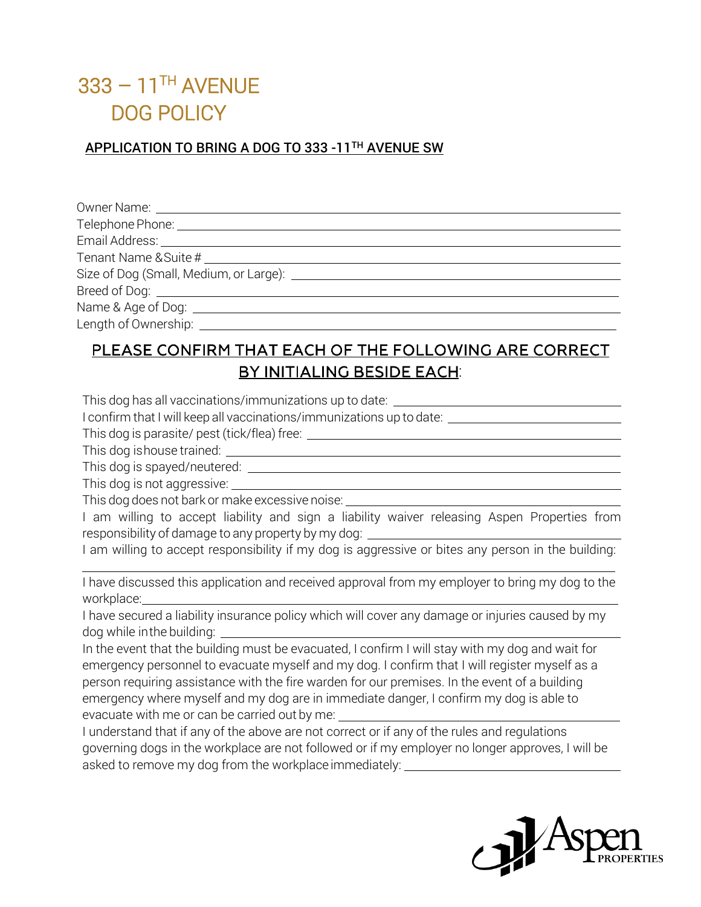#### APPLICATION TO BRING A DOG TO 333 -11TH AVENUE SW

| Owner Name: ______________________  |  |
|-------------------------------------|--|
| Telephone Phone: __________________ |  |
|                                     |  |
|                                     |  |
|                                     |  |
|                                     |  |
|                                     |  |
| Length of Ownership:                |  |

### PLEASE CONFIRM THAT EACH OF THE FOLLOWING ARE CORRECT BY INITIALING BESIDE EACH:

This dog has all vaccinations/immunizations up to date: \_\_\_\_\_\_\_\_\_\_\_\_\_\_\_\_\_\_\_\_\_\_\_\_\_

I confirm that I will keep all vaccinations/immunizations up to date:

This dog is parasite/ pest (tick/flea) free:

This dog ishouse trained:

This dog is spayed/neutered:

This dog is not aggressive:

This dog does not bark or make excessive noise:

I am willing to accept liability and sign a liability waiver releasing Aspen Properties from responsibility of damage to any property by my dog:

I am willing to accept responsibility if my dog is aggressive or bites any person in the building:

I have discussed this application and received approval from my employer to bring my dog to the workplace:

I have secured a liability insurance policy which will cover any damage or injuries caused by my dog while inthe building:

In the event that the building must be evacuated, I confirm I will stay with my dog and wait for emergency personnel to evacuate myself and my dog. I confirm that I will register myself as a person requiring assistance with the fire warden for our premises. In the event of a building emergency where myself and my dog are in immediate danger, I confirm my dog is able to evacuate with me or can be carried out by me:

I understand that if any of the above are not correct or if any of the rules and regulations governing dogs in the workplace are not followed or if my employer no longer approves, I will be asked to remove my dog from the workplace immediately: